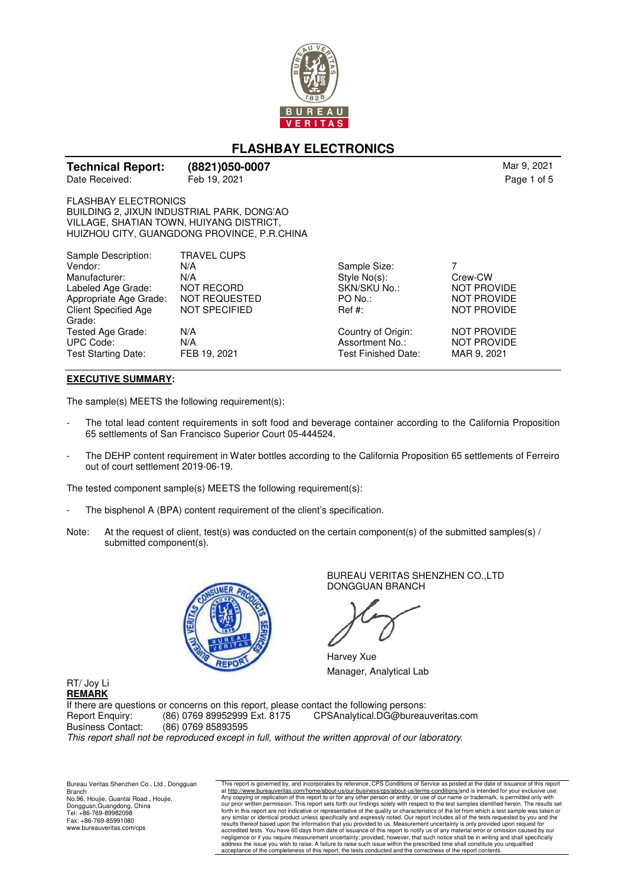

# **FLASHBAY ELECTRONICS**

| <b>Technical Report:</b> | (8821)050-0007 | Mar 9, 2021 |
|--------------------------|----------------|-------------|
| Date Received:           | Feb 19, 2021   | Page 1 of 5 |

FLASHBAY ELECTRONICS BUILDING 2, JIXUN INDUSTRIAL PARK, DONG'AO VILLAGE, SHATIAN TOWN, HUIYANG DISTRICT, HUIZHOU CITY, GUANGDONG PROVINCE, P.R.CHINA

| N/A                  | Sample Size:        |                    |
|----------------------|---------------------|--------------------|
| N/A                  | Style No(s):        | Crew-CW            |
| <b>NOT RECORD</b>    | SKN/SKU No.:        | <b>NOT PROVIDE</b> |
| <b>NOT REQUESTED</b> | $PO$ No.:           | <b>NOT PROVIDE</b> |
| NOT SPECIFIED        | $\text{Ref } #:$    | <b>NOT PROVIDE</b> |
|                      |                     |                    |
| N/A                  | Country of Origin:  | <b>NOT PROVIDE</b> |
| N/A                  | Assortment No.:     | <b>NOT PROVIDE</b> |
| FEB 19, 2021         | Test Finished Date: | MAR 9, 2021        |
|                      | <b>TRAVEL CUPS</b>  |                    |

### **EXECUTIVE SUMMARY:**

The sample(s) MEETS the following requirement(s):

- The total lead content requirements in soft food and beverage container according to the California Proposition 65 settlements of San Francisco Superior Court 05-444524.
- The DEHP content requirement in Water bottles according to the California Proposition 65 settlements of Ferreiro out of court settlement 2019-06-19.

The tested component sample(s) MEETS the following requirement(s):

- The bisphenol A (BPA) content requirement of the client's specification.
- Note: At the request of client, test(s) was conducted on the certain component(s) of the submitted samples(s) / submitted component(s).



BUREAU VERITAS SHENZHEN CO.,LTD DONGGUAN BRANCH

Harvey Xue Manager, Analytical Lab

RT/ Joy Li **REMARK**

If there are questions or concerns on this report, please contact the following persons: Report Enquiry: (86) 0769 89952999 Ext. 8175 CPSAnalytical.DG@bureauveritas.com<br>Business Contact: (86) 0769 85893595 Business Contact: (86) 0769 85893595 This report shall not be reproduced except in full, without the written approval of our laboratory.

Bureau Veritas Shenzhen Co., Ltd., Dongguan Branch No.96, Houjie, Guantai Road., Houjie, Dongguan,Guangdong, China Tel: +86-769-89982098 Fax: +86-769-85991080 www.bureauveritas.com/cps

This report is governed by, and incorporates by reference, CPS Conditions of Service as posted at the date of issuance of this report<br>at http://www.bureauveritas.com/home/about-us/our-business/cps/about-us/flerms-condition accredited tests. You have 60 days from date of issuance of this report to notify us of any material error or omission caused by our<br>negligence or if you require measurement uncertainty; provided, however, that such notice acceptance of the completeness of this report, the tests conducted and the correctness of the report contents.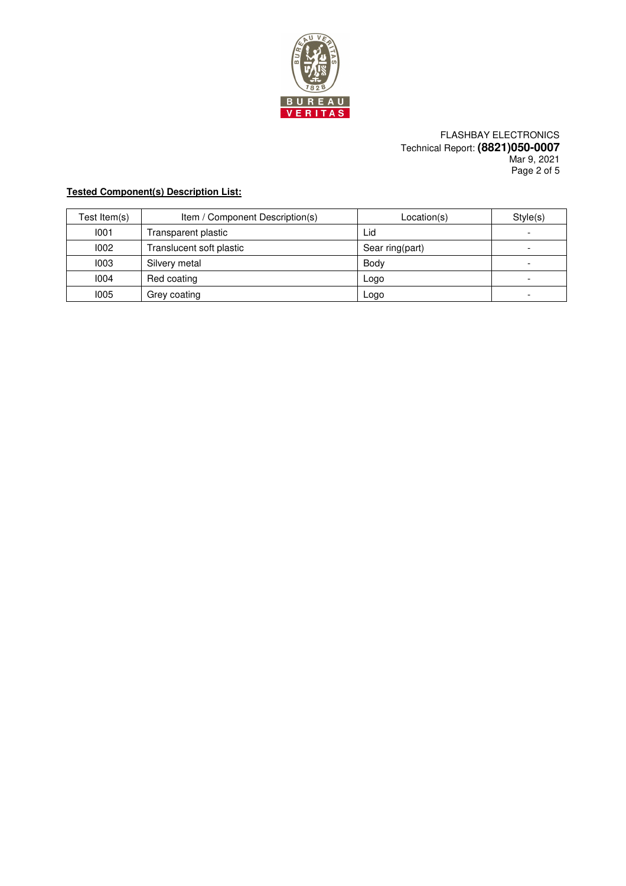

FLASHBAY ELECTRONICS Technical Report: **(8821)050-0007** Mar 9, 2021 Page 2 of 5

# **Tested Component(s) Description List:**

| Test Item(s) | Item / Component Description(s) | Location(s)     | Style(s) |
|--------------|---------------------------------|-----------------|----------|
| 1001         | Transparent plastic             | Lid             | ۰.       |
| 1002         | Translucent soft plastic        | Sear ring(part) | ۰.       |
| 1003         | Silvery metal                   | Body            | -        |
| 1004         | Red coating                     | Logo            | -        |
| 1005         | Grey coating                    | Logo            | -        |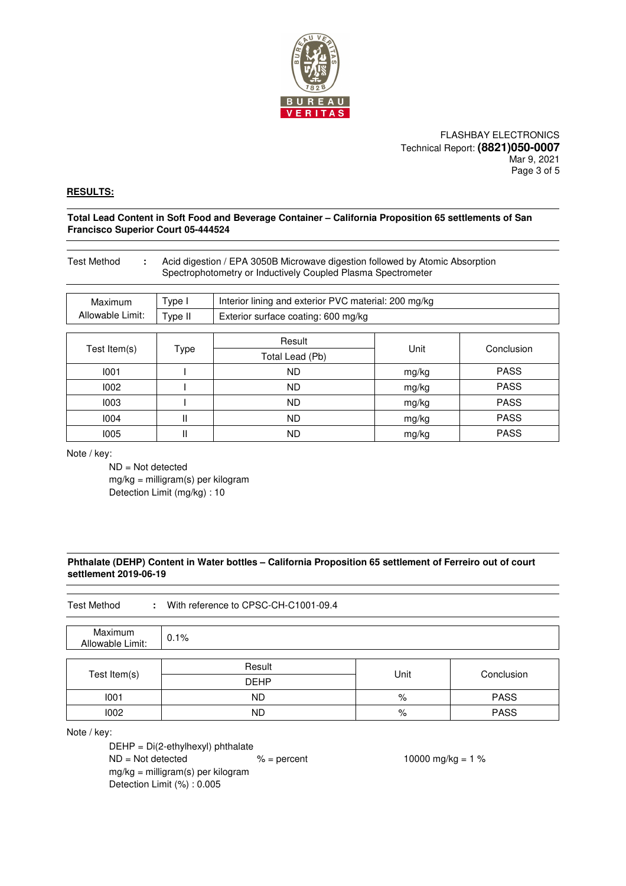

FLASHBAY ELECTRONICS Technical Report: **(8821)050-0007** Mar 9, 2021 Page 3 of 5

### **RESULTS:**

**Total Lead Content in Soft Food and Beverage Container – California Proposition 65 settlements of San Francisco Superior Court 05-444524** 

| <b>Test Method</b> |         | Acid digestion / EPA 3050B Microwave digestion followed by Atomic Absorption<br>Spectrophotometry or Inductively Coupled Plasma Spectrometer |       |             |
|--------------------|---------|----------------------------------------------------------------------------------------------------------------------------------------------|-------|-------------|
| Maximum            | Type I  | Interior lining and exterior PVC material: 200 mg/kg                                                                                         |       |             |
| Allowable Limit:   | Type II | Exterior surface coating: 600 mg/kg                                                                                                          |       |             |
| Test Item(s)       | Type    | Result<br>Total Lead (Pb)                                                                                                                    | Unit  | Conclusion  |
| 1001               |         | ND.                                                                                                                                          | mg/kg | <b>PASS</b> |
| 1002               |         | ND.                                                                                                                                          | mg/kg | <b>PASS</b> |
| 1003               |         | ND.                                                                                                                                          | mg/kg | <b>PASS</b> |
| 1004               | Ш       | ND.                                                                                                                                          | mg/kg | <b>PASS</b> |
| 1005               |         | ND.                                                                                                                                          | mg/kg | <b>PASS</b> |

Note / key:

 ND = Not detected mg/kg = milligram(s) per kilogram Detection Limit (mg/kg) : 10

### **Phthalate (DEHP) Content in Water bottles – California Proposition 65 settlement of Ferreiro out of court settlement 2019-06-19**

| <b>Test Method</b><br>With reference to CPSC-CH-C1001-09.4 |             |      |             |
|------------------------------------------------------------|-------------|------|-------------|
| Maximum<br>Allowable Limit:                                | 0.1%        |      |             |
| Test Item(s)                                               | Result      | Unit | Conclusion  |
|                                                            | <b>DEHP</b> |      |             |
| 1001                                                       | <b>ND</b>   | %    | <b>PASS</b> |
| 1002                                                       | <b>ND</b>   | %    | <b>PASS</b> |

Note / key:

 DEHP = Di(2-ethylhexyl) phthalate ND = Not detected % = percent 10000 mg/kg = 1 % mg/kg = milligram(s) per kilogram Detection Limit (%) : 0.005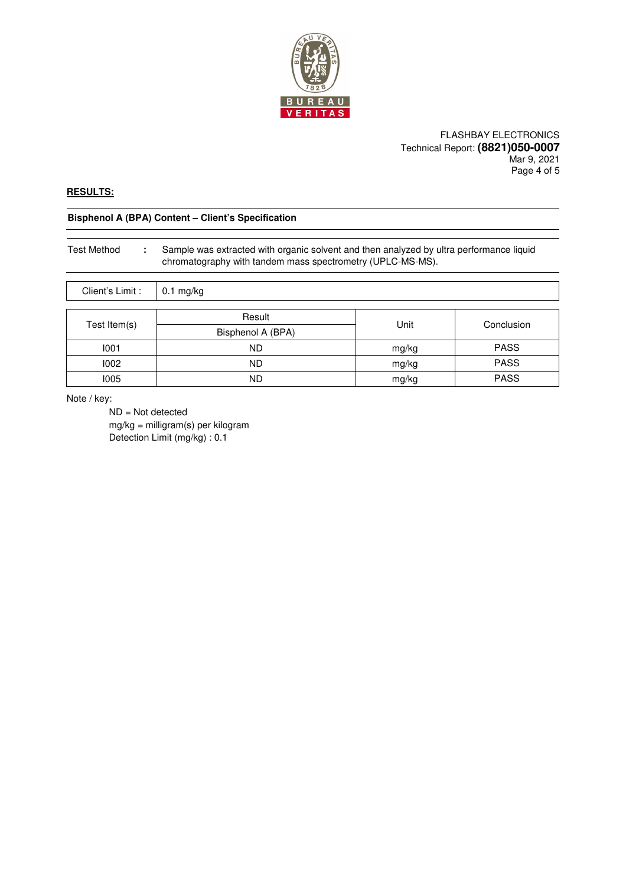

### FLASHBAY ELECTRONICS Technical Report: **(8821)050-0007** Mar 9, 2021 Page 4 of 5

## **RESULTS:**

# **Bisphenol A (BPA) Content – Client's Specification**

| Test Method                           | Sample was extracted with organic solvent and then analyzed by ultra performance liquid<br>chromatography with tandem mass spectrometry (UPLC-MS-MS). |
|---------------------------------------|-------------------------------------------------------------------------------------------------------------------------------------------------------|
| $P^{\text{linear}} \cap \text{limit}$ | $0.1$ malka                                                                                                                                           |

| Chent's Limit : | U. I Mg/Kg        |       |             |
|-----------------|-------------------|-------|-------------|
|                 |                   |       |             |
| Test Item(s)    | Result            | Unit  | Conclusion  |
|                 | Bisphenol A (BPA) |       |             |
| 1001            | <b>ND</b>         | mg/kg | <b>PASS</b> |
| 1002            | <b>ND</b>         | mg/kg | <b>PASS</b> |
| 1005            | <b>ND</b>         | mg/kg | <b>PASS</b> |

Note / key:

 ND = Not detected mg/kg = milligram(s) per kilogram Detection Limit (mg/kg) : 0.1